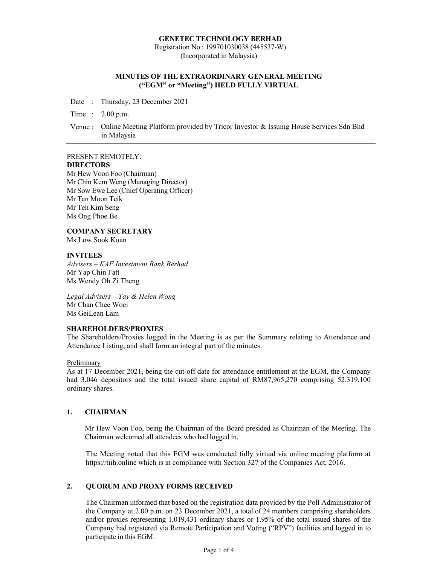#### GENETEC TECHNOLOGY BERHAD

Registration No.: 199701030038 (445537-W) (Incorporated in Malaysia)

### MINUTES OF THE EXTRAORDINARY GENERAL MEETING ("EGM" or "Meeting") HELD FULLY VIRTUAL

Date : Thursday, 23 December 2021

Time : 2.00 p.m.

Venue : Online Meeting Platform provided by Tricor Investor & Issuing House Services Sdn Bhd in Malaysia

### PRESENT REMOTELY:

## **DIRECTORS**

Mr Hew Voon Foo (Chairman) Mr Chin Kem Weng (Managing Director) Mr Sow Ewe Lee (Chief Operating Officer) Mr Tan Moon Teik Mr Teh Kim Seng Ms Ong Phoe Be

### COMPANY SECRETARY

Ms Low Sook Kuan

### **INVITEES**

Advisers – KAF Investment Bank Berhad Mr Yap Chin Fatt Ms Wendy Oh Zi Theng

Legal Advisers – Tay & Helen Wong Mr Chan Chee Woei Ms GeiLean Lam

### SHAREHOLDERS/PROXIES

The Shareholders/Proxies logged in the Meeting is as per the Summary relating to Attendance and Attendance Listing, and shall form an integral part of the minutes.

### Preliminary

As at 17 December 2021, being the cut-off date for attendance entitlement at the EGM, the Company had 3,046 depositors and the total issued share capital of RM87,965,270 comprising 52,319,100 ordinary shares.

### 1. CHAIRMAN

Mr Hew Voon Foo, being the Chairman of the Board presided as Chairman of the Meeting. The Chairman welcomed all attendees who had logged in.

The Meeting noted that this EGM was conducted fully virtual via online meeting platform at https://tiih.online which is in compliance with Section 327 of the Companies Act, 2016.

# 2. QUORUM AND PROXY FORMS RECEIVED

The Chairman informed that based on the registration data provided by the Poll Administrator of the Company at 2.00 p.m. on 23 December 2021, a total of 24 members comprising shareholders and/or proxies representing 1,019,431 ordinary shares or 1.95% of the total issued shares of the Company had registered via Remote Participation and Voting ("RPV") facilities and logged in to participate in this EGM.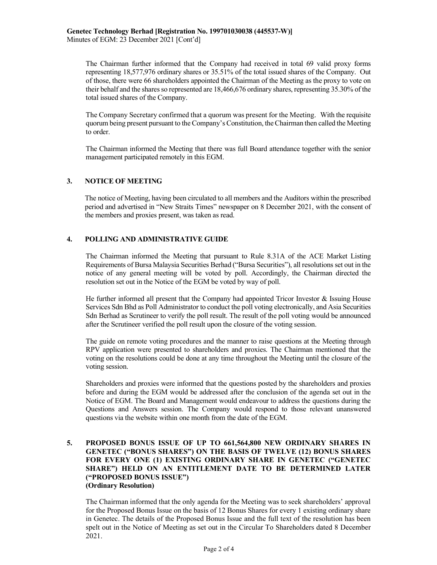Minutes of EGM: 23 December 2021 [Cont'd]

The Chairman further informed that the Company had received in total 69 valid proxy forms representing 18,577,976 ordinary shares or 35.51% of the total issued shares of the Company. Out of those, there were 66 shareholders appointed the Chairman of the Meeting as the proxy to vote on their behalf and the shares so represented are 18,466,676 ordinary shares, representing 35.30% of the total issued shares of the Company.

The Company Secretary confirmed that a quorum was present for the Meeting. With the requisite quorum being present pursuant to the Company's Constitution, the Chairman then called the Meeting to order.

The Chairman informed the Meeting that there was full Board attendance together with the senior management participated remotely in this EGM.

# 3. NOTICE OF MEETING

The notice of Meeting, having been circulated to all members and the Auditors within the prescribed period and advertised in "New Straits Times" newspaper on 8 December 2021, with the consent of the members and proxies present, was taken as read.

# 4. POLLING AND ADMINISTRATIVE GUIDE

The Chairman informed the Meeting that pursuant to Rule 8.31A of the ACE Market Listing Requirements of Bursa Malaysia Securities Berhad ("Bursa Securities"), all resolutions set out in the notice of any general meeting will be voted by poll. Accordingly, the Chairman directed the resolution set out in the Notice of the EGM be voted by way of poll.

He further informed all present that the Company had appointed Tricor Investor & Issuing House Services Sdn Bhd as Poll Administrator to conduct the poll voting electronically, and Asia Securities Sdn Berhad as Scrutineer to verify the poll result. The result of the poll voting would be announced after the Scrutineer verified the poll result upon the closure of the voting session.

The guide on remote voting procedures and the manner to raise questions at the Meeting through RPV application were presented to shareholders and proxies. The Chairman mentioned that the voting on the resolutions could be done at any time throughout the Meeting until the closure of the voting session.

Shareholders and proxies were informed that the questions posted by the shareholders and proxies before and during the EGM would be addressed after the conclusion of the agenda set out in the Notice of EGM. The Board and Management would endeavour to address the questions during the Questions and Answers session. The Company would respond to those relevant unanswered questions via the website within one month from the date of the EGM.

### 5. PROPOSED BONUS ISSUE OF UP TO 661,564,800 NEW ORDINARY SHARES IN GENETEC ("BONUS SHARES") ON THE BASIS OF TWELVE (12) BONUS SHARES FOR EVERY ONE (1) EXISTING ORDINARY SHARE IN GENETEC ("GENETEC SHARE") HELD ON AN ENTITLEMENT DATE TO BE DETERMINED LATER ("PROPOSED BONUS ISSUE") (Ordinary Resolution)

The Chairman informed that the only agenda for the Meeting was to seek shareholders' approval for the Proposed Bonus Issue on the basis of 12 Bonus Shares for every 1 existing ordinary share in Genetec. The details of the Proposed Bonus Issue and the full text of the resolution has been spelt out in the Notice of Meeting as set out in the Circular To Shareholders dated 8 December 2021.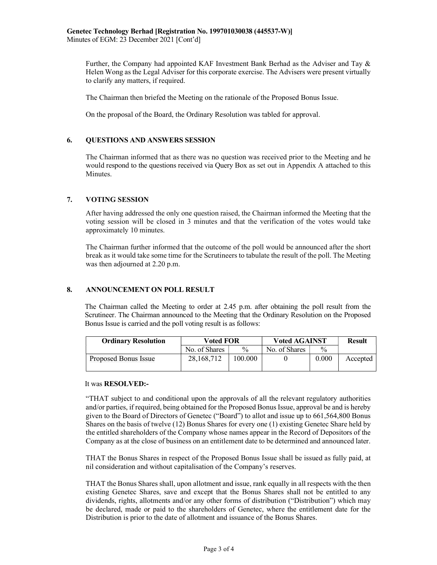Further, the Company had appointed KAF Investment Bank Berhad as the Adviser and Tay & Helen Wong as the Legal Adviser for this corporate exercise. The Advisers were present virtually to clarify any matters, if required.

The Chairman then briefed the Meeting on the rationale of the Proposed Bonus Issue.

On the proposal of the Board, the Ordinary Resolution was tabled for approval.

# 6. QUESTIONS AND ANSWERS SESSION

The Chairman informed that as there was no question was received prior to the Meeting and he would respond to the questions received via Query Box as set out in Appendix A attached to this Minutes.

# 7. VOTING SESSION

After having addressed the only one question raised, the Chairman informed the Meeting that the voting session will be closed in 3 minutes and that the verification of the votes would take approximately 10 minutes.

The Chairman further informed that the outcome of the poll would be announced after the short break as it would take some time for the Scrutineers to tabulate the result of the poll. The Meeting was then adjourned at 2.20 p.m.

### 8. ANNOUNCEMENT ON POLL RESULT

The Chairman called the Meeting to order at 2.45 p.m. after obtaining the poll result from the Scrutineer. The Chairman announced to the Meeting that the Ordinary Resolution on the Proposed Bonus Issue is carried and the poll voting result is as follows:

| <b>Ordinary Resolution</b> | Voted FOR     |               | <b>Voted AGAINST</b> |               | <b>Result</b> |
|----------------------------|---------------|---------------|----------------------|---------------|---------------|
|                            | No. of Shares | $\frac{0}{0}$ | No. of Shares        | $\frac{0}{0}$ |               |
| Proposed Bonus Issue       | 28, 168, 712  | 100.000       |                      | 0.000         | Accepted      |

#### It was RESOLVED:-

"THAT subject to and conditional upon the approvals of all the relevant regulatory authorities and/or parties, if required, being obtained for the Proposed Bonus Issue, approval be and is hereby given to the Board of Directors of Genetec ("Board") to allot and issue up to 661,564,800 Bonus Shares on the basis of twelve (12) Bonus Shares for every one (1) existing Genetec Share held by the entitled shareholders of the Company whose names appear in the Record of Depositors of the Company as at the close of business on an entitlement date to be determined and announced later.

THAT the Bonus Shares in respect of the Proposed Bonus Issue shall be issued as fully paid, at nil consideration and without capitalisation of the Company's reserves.

THAT the Bonus Shares shall, upon allotment and issue, rank equally in all respects with the then existing Genetec Shares, save and except that the Bonus Shares shall not be entitled to any dividends, rights, allotments and/or any other forms of distribution ("Distribution") which may be declared, made or paid to the shareholders of Genetec, where the entitlement date for the Distribution is prior to the date of allotment and issuance of the Bonus Shares.